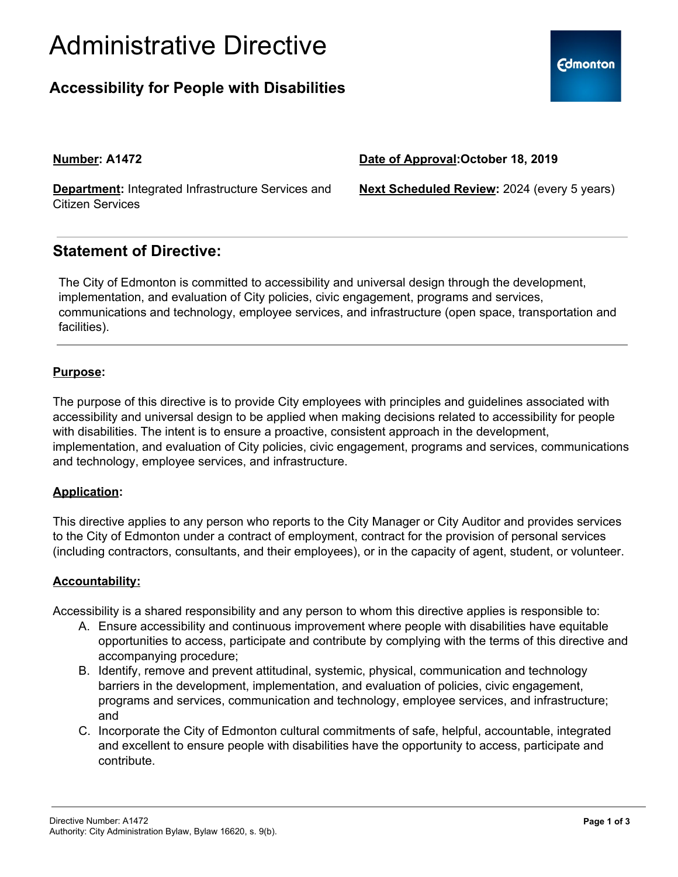# Administrative Directive

## **Accessibility for People with Disabilities**

### **Number: A1472**

**Department:** Integrated Infrastructure Services and Citizen Services

**Next Scheduled Review:** 2024 (every 5 years)

**Date of Approval:October 18, 2019**

### **Statement of Directive:**

The City of Edmonton is committed to accessibility and universal design through the development, implementation, and evaluation of City policies, civic engagement, programs and services, communications and technology, employee services, and infrastructure (open space, transportation and facilities).

#### **Purpose:**

The purpose of this directive is to provide City employees with principles and guidelines associated with accessibility and universal design to be applied when making decisions related to accessibility for people with disabilities. The intent is to ensure a proactive, consistent approach in the development, implementation, and evaluation of City policies, civic engagement, programs and services, communications and technology, employee services, and infrastructure.

### **Application:**

This directive applies to any person who reports to the City Manager or City Auditor and provides services to the City of Edmonton under a contract of employment, contract for the provision of personal services (including contractors, consultants, and their employees), or in the capacity of agent, student, or volunteer.

### **Accountability:**

Accessibility is a shared responsibility and any person to whom this directive applies is responsible to:

- A. Ensure accessibility and continuous improvement where people with disabilities have equitable opportunities to access, participate and contribute by complying with the terms of this directive and accompanying procedure;
- B. Identify, remove and prevent attitudinal, systemic, physical, communication and technology barriers in the development, implementation, and evaluation of policies, civic engagement, programs and services, communication and technology, employee services, and infrastructure; and
- C. Incorporate the City of Edmonton cultural commitments of safe, helpful, accountable, integrated and excellent to ensure people with disabilities have the opportunity to access, participate and contribute.

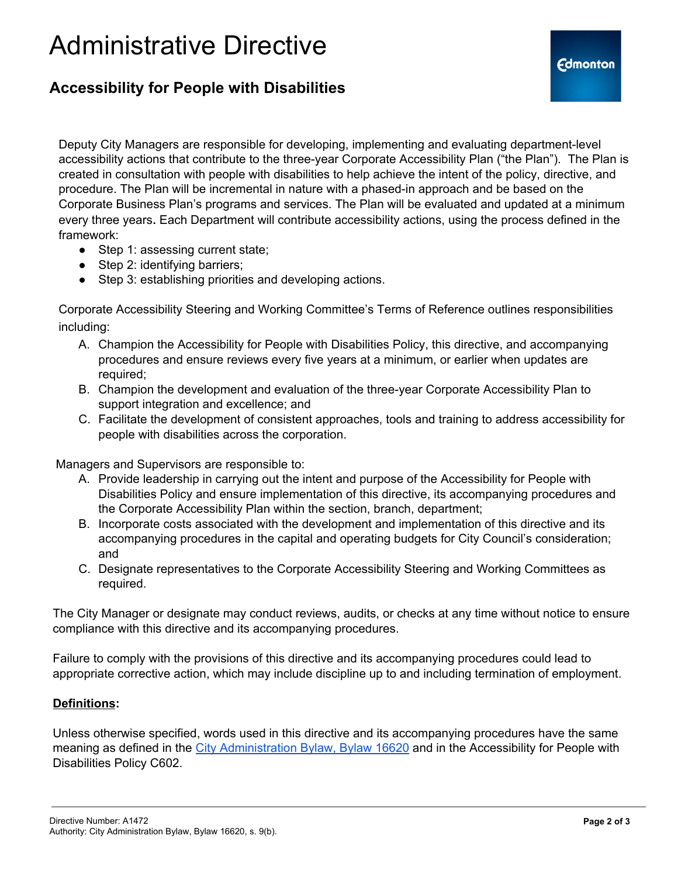## Administrative Directive

### **Accessibility for People with Disabilities**

Deputy City Managers are responsible for developing, implementing and evaluating department-level accessibility actions that contribute to the three-year Corporate Accessibility Plan ("the Plan"). The Plan is created in consultation with people with disabilities to help achieve the intent of the policy, directive, and procedure. The Plan will be incremental in nature with a phased-in approach and be based on the Corporate Business Plan's programs and services. The Plan will be evaluated and updated at a minimum every three years. Each Department will contribute accessibility actions, using the process defined in the framework:

- Step 1: assessing current state;
- Step 2: identifying barriers;
- Step 3: establishing priorities and developing actions.

Corporate Accessibility Steering and Working Committee's Terms of Reference outlines responsibilities including:

- A. Champion the Accessibility for People with Disabilities Policy, this directive, and accompanying procedures and [ensure](https://www.edmonton.ca/city_government/documents/PoliciesDirectives/C466.pdf) reviews every five years at a minimum, or earlier when updates are required;
- B. Champion the development and evaluation of the three-year Corporate Accessibility Plan to support integration and excellence; and
- C. Facilitate the development of consistent approaches, tools and training to address accessibility for people with disabilities across the corporation.

Managers and Supervisors are responsible to:

- A. Provide leadership in carrying out the intent and purpose of the Accessibility for People with Disabilities Policy and ensure implementation of this directive, its accompanying procedures and the Corporate Accessibility Plan within the section, branch, department;
- B. Incorporate costs associated with the development and implementation of this directive and its accompanying procedures in the capital and operating budgets for City Council's consideration; and
- C. Designate representatives to the Corporate Accessibility Steering and Working Committees as required.

The City Manager or designate may conduct reviews, audits, or checks at any time without notice to ensure compliance with this directive and its accompanying procedures.

Failure to comply with the provisions of this directive and its accompanying procedures could lead to appropriate corrective action, which may include discipline up to and including termination of employment.

#### **Definitions:**

Unless otherwise specified, words used in this directive and its accompanying procedures have the same meaning as defined in the City [Administration](https://www.edmonton.ca/city_government/documents/Bylaws/C16620.pdf) Bylaw, Bylaw 16620 and in the Accessibility for People with Disabilities Policy C602.